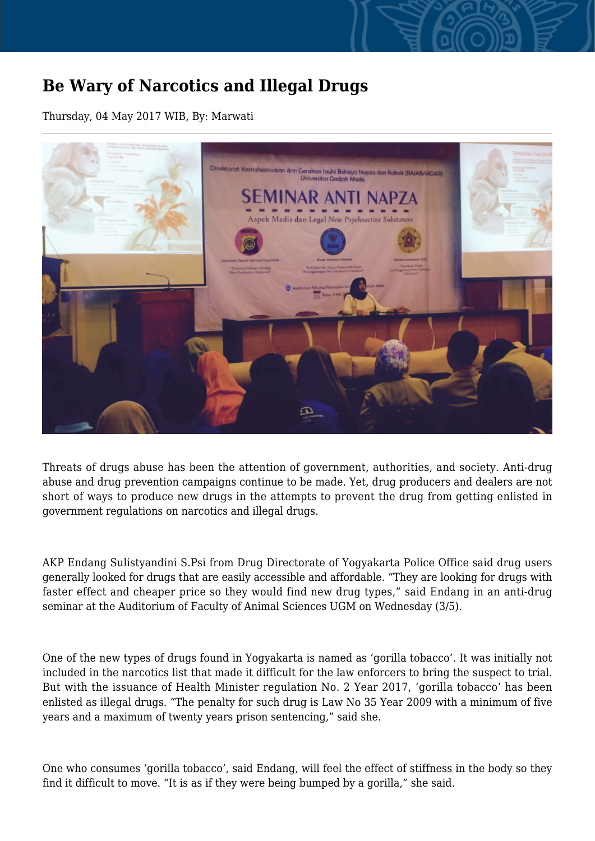## **Be Wary of Narcotics and Illegal Drugs**

Thursday, 04 May 2017 WIB, By: Marwati



Threats of drugs abuse has been the attention of government, authorities, and society. Anti-drug abuse and drug prevention campaigns continue to be made. Yet, drug producers and dealers are not short of ways to produce new drugs in the attempts to prevent the drug from getting enlisted in government regulations on narcotics and illegal drugs.

AKP Endang Sulistyandini S.Psi from Drug Directorate of Yogyakarta Police Office said drug users generally looked for drugs that are easily accessible and affordable. "They are looking for drugs with faster effect and cheaper price so they would find new drug types," said Endang in an anti-drug seminar at the Auditorium of Faculty of Animal Sciences UGM on Wednesday (3/5).

One of the new types of drugs found in Yogyakarta is named as 'gorilla tobacco'. It was initially not included in the narcotics list that made it difficult for the law enforcers to bring the suspect to trial. But with the issuance of Health Minister regulation No. 2 Year 2017, 'gorilla tobacco' has been enlisted as illegal drugs. "The penalty for such drug is Law No 35 Year 2009 with a minimum of five years and a maximum of twenty years prison sentencing," said she.

One who consumes 'gorilla tobacco', said Endang, will feel the effect of stiffness in the body so they find it difficult to move. "It is as if they were being bumped by a gorilla," she said.